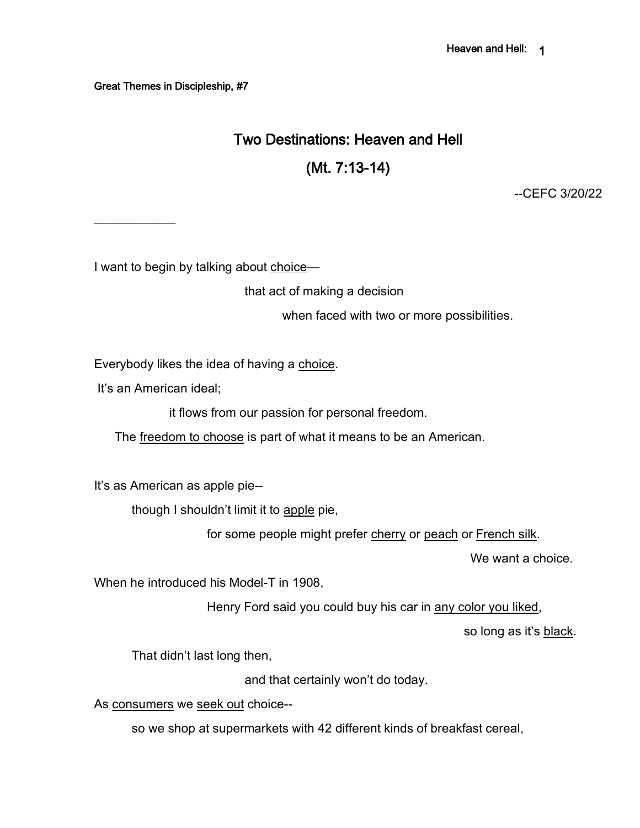Great Themes in Discipleship, #7

# Two Destinations: Heaven and Hell

(Mt. 7:13-14)

--CEFC 3/20/22

I want to begin by talking about choice—

that act of making a decision

when faced with two or more possibilities.

Everybody likes the idea of having a choice.

It's an American ideal;

 $\frac{1}{2}$ 

it flows from our passion for personal freedom.

The freedom to choose is part of what it means to be an American.

It's as American as apple pie--

though I shouldn't limit it to apple pie,

for some people might prefer cherry or peach or French silk.

We want a choice.

When he introduced his Model-T in 1908,

Henry Ford said you could buy his car in any color you liked,

so long as it's black.

That didn't last long then,

and that certainly won't do today.

As consumers we seek out choice--

so we shop at supermarkets with 42 different kinds of breakfast cereal,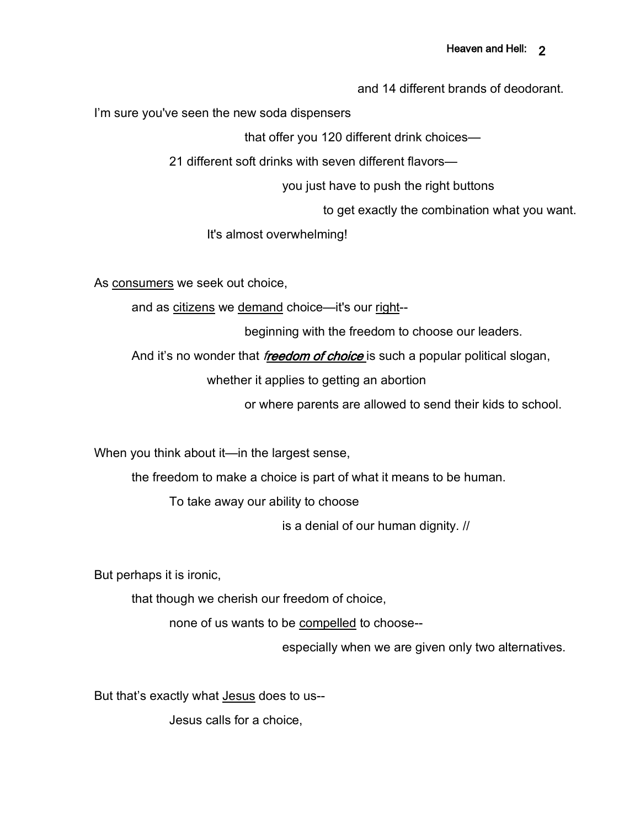and 14 different brands of deodorant.

I'm sure you've seen the new soda dispensers

that offer you 120 different drink choices—

21 different soft drinks with seven different flavors—

you just have to push the right buttons

to get exactly the combination what you want.

It's almost overwhelming!

As consumers we seek out choice,

and as citizens we demand choice—it's our right--

beginning with the freedom to choose our leaders.

And it's no wonder that *freedom of choice* is such a popular political slogan,

whether it applies to getting an abortion

or where parents are allowed to send their kids to school.

When you think about it—in the largest sense,

the freedom to make a choice is part of what it means to be human.

To take away our ability to choose

is a denial of our human dignity. //

But perhaps it is ironic,

that though we cherish our freedom of choice,

none of us wants to be compelled to choose--

especially when we are given only two alternatives.

But that's exactly what Jesus does to us--

Jesus calls for a choice,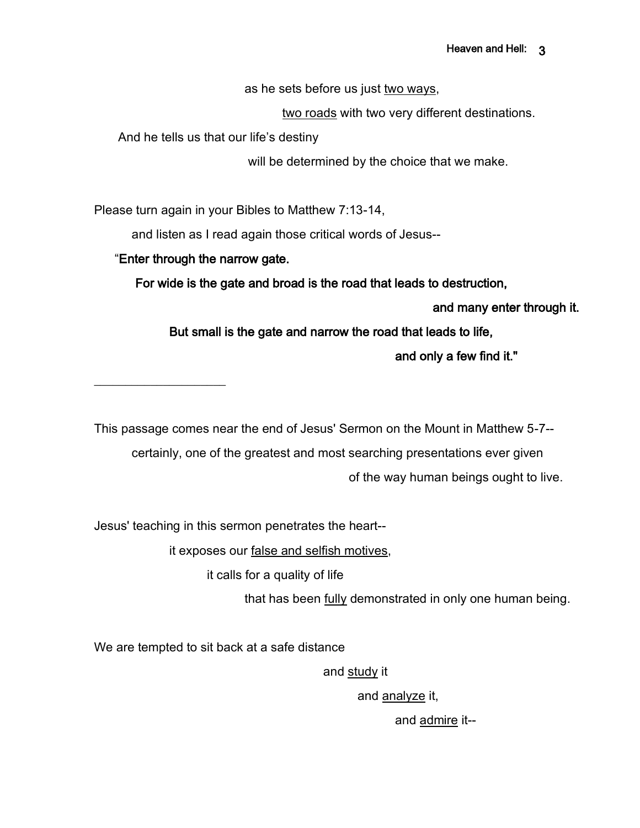as he sets before us just two ways,

two roads with two very different destinations.

And he tells us that our life's destiny

will be determined by the choice that we make.

Please turn again in your Bibles to Matthew 7:13-14,

and listen as I read again those critical words of Jesus--

### "Enter through the narrow gate.

 $\overline{\phantom{a}}$  , where  $\overline{\phantom{a}}$ 

For wide is the gate and broad is the road that leads to destruction,

and many enter through it.

But small is the gate and narrow the road that leads to life,

and only a few find it."

This passage comes near the end of Jesus' Sermon on the Mount in Matthew 5-7--

certainly, one of the greatest and most searching presentations ever given of the way human beings ought to live.

Jesus' teaching in this sermon penetrates the heart--

it exposes our false and selfish motives,

it calls for a quality of life

that has been fully demonstrated in only one human being.

We are tempted to sit back at a safe distance

and study it

and analyze it,

and admire it--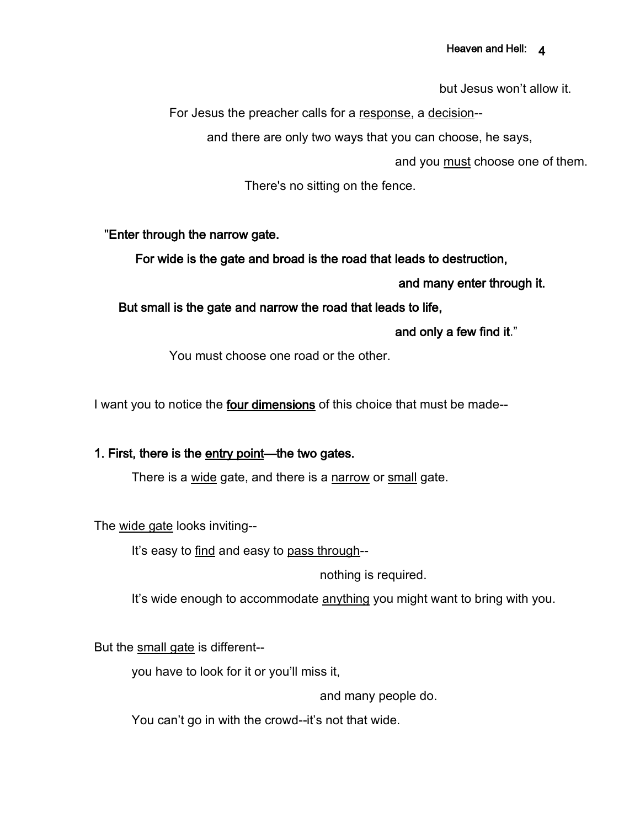#### Heaven and Hell: 4

but Jesus won't allow it.

For Jesus the preacher calls for a response, a decision--

and there are only two ways that you can choose, he says,

and you must choose one of them.

There's no sitting on the fence.

#### "Enter through the narrow gate.

For wide is the gate and broad is the road that leads to destruction,

and many enter through it.

#### But small is the gate and narrow the road that leads to life,

and only a few find it."

You must choose one road or the other.

I want you to notice the four dimensions of this choice that must be made--

#### 1. First, there is the entry point—the two gates.

There is a wide gate, and there is a narrow or small gate.

The wide gate looks inviting--

It's easy to find and easy to pass through--

nothing is required.

It's wide enough to accommodate anything you might want to bring with you.

But the small gate is different--

you have to look for it or you'll miss it,

and many people do.

You can't go in with the crowd--it's not that wide.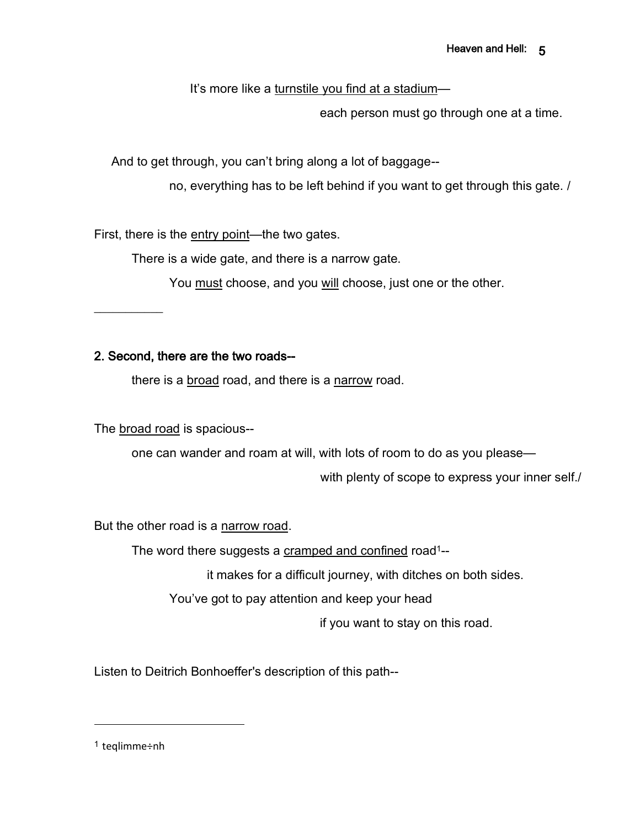It's more like a turnstile you find at a stadium—

each person must go through one at a time.

And to get through, you can't bring along a lot of baggage--

no, everything has to be left behind if you want to get through this gate. /

First, there is the entry point—the two gates.

There is a wide gate, and there is a narrow gate.

You must choose, and you will choose, just one or the other.

 $\frac{1}{2}$ 

## 2. Second, there are the two roads--

there is a broad road, and there is a narrow road.

The broad road is spacious--

one can wander and roam at will, with lots of room to do as you please—

with plenty of scope to express your inner self./

But the other road is a narrow road.

The word there suggests a cramped and confined road<sup>1</sup>--

it makes for a difficult journey, with ditches on both sides.

You've got to pay attention and keep your head

if you want to stay on this road.

Listen to Deitrich Bonhoeffer's description of this path--

<sup>1</sup> teqlimme÷nh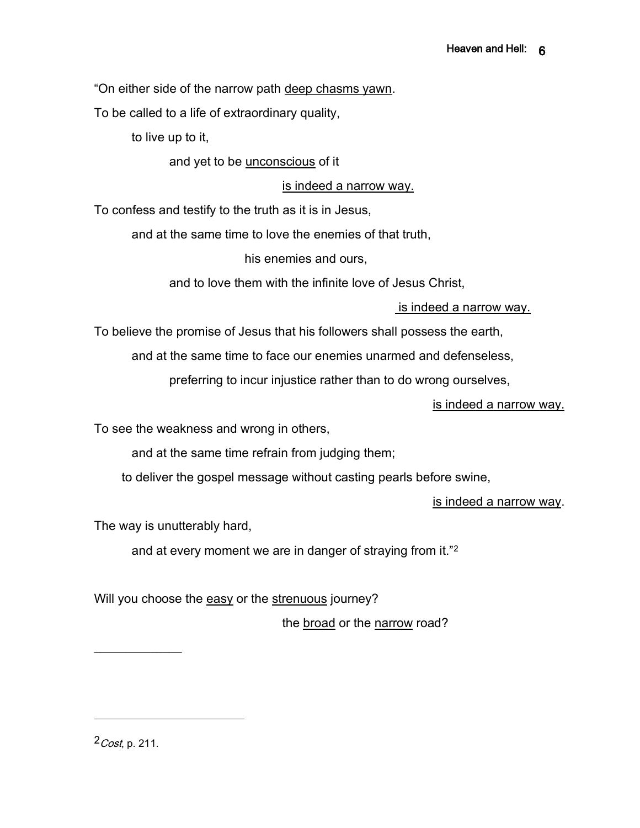"On either side of the narrow path deep chasms yawn.

To be called to a life of extraordinary quality,

to live up to it,

and yet to be unconscious of it

is indeed a narrow way.

To confess and testify to the truth as it is in Jesus,

and at the same time to love the enemies of that truth,

his enemies and ours,

and to love them with the infinite love of Jesus Christ,

### is indeed a narrow way.

To believe the promise of Jesus that his followers shall possess the earth,

and at the same time to face our enemies unarmed and defenseless,

preferring to incur injustice rather than to do wrong ourselves,

is indeed a narrow way.

To see the weakness and wrong in others,

and at the same time refrain from judging them;

to deliver the gospel message without casting pearls before swine,

is indeed a narrow way.

The way is unutterably hard,

and at every moment we are in danger of straying from it."<sup>2</sup>

Will you choose the easy or the strenuous journey?

the broad or the narrow road?

 $2$ *Cost*, p. 211.

 $\frac{1}{2}$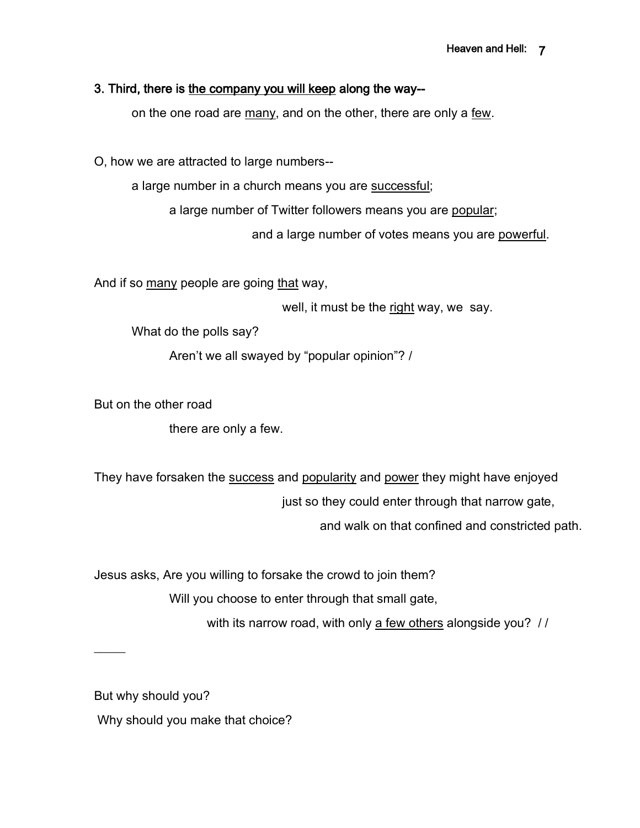### 3. Third, there is the company you will keep along the way--

on the one road are many, and on the other, there are only a few.

O, how we are attracted to large numbers--

a large number in a church means you are successful;

a large number of Twitter followers means you are popular;

and a large number of votes means you are powerful.

And if so many people are going that way,

well, it must be the right way, we say.

What do the polls say?

Aren't we all swayed by "popular opinion"? /

But on the other road

there are only a few.

They have forsaken the success and popularity and power they might have enjoyed just so they could enter through that narrow gate,

and walk on that confined and constricted path.

Jesus asks, Are you willing to forsake the crowd to join them? Will you choose to enter through that small gate,

with its narrow road, with only a few others alongside you? //

But why should you?

 $\mathcal{L}$ 

Why should you make that choice?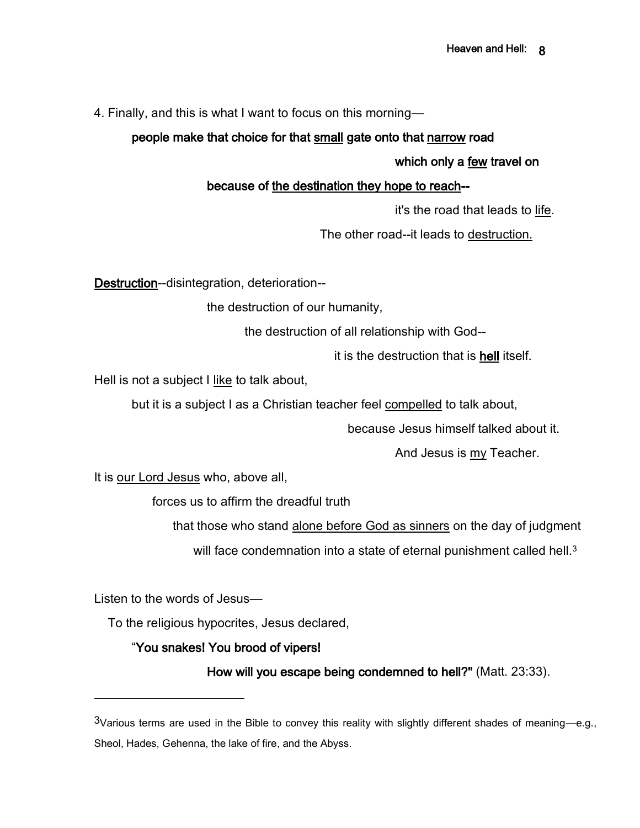4. Finally, and this is what I want to focus on this morning—

## people make that choice for that small gate onto that narrow road

#### which only a few travel on

## because of the destination they hope to reach--

it's the road that leads to life.

The other road--it leads to destruction.

Destruction--disintegration, deterioration--

the destruction of our humanity,

the destruction of all relationship with God--

it is the destruction that is hell itself.

Hell is not a subject I like to talk about,

but it is a subject I as a Christian teacher feel compelled to talk about,

because Jesus himself talked about it.

And Jesus is my Teacher.

It is our Lord Jesus who, above all,

forces us to affirm the dreadful truth

that those who stand alone before God as sinners on the day of judgment

will face condemnation into a state of eternal punishment called hell.<sup>3</sup>

Listen to the words of Jesus—

To the religious hypocrites, Jesus declared,

## "You snakes! You brood of vipers!

How will you escape being condemned to hell?" (Matt. 23:33).

 $3$ Various terms are used in the Bible to convey this reality with slightly different shades of meaning—e.g., Sheol, Hades, Gehenna, the lake of fire, and the Abyss.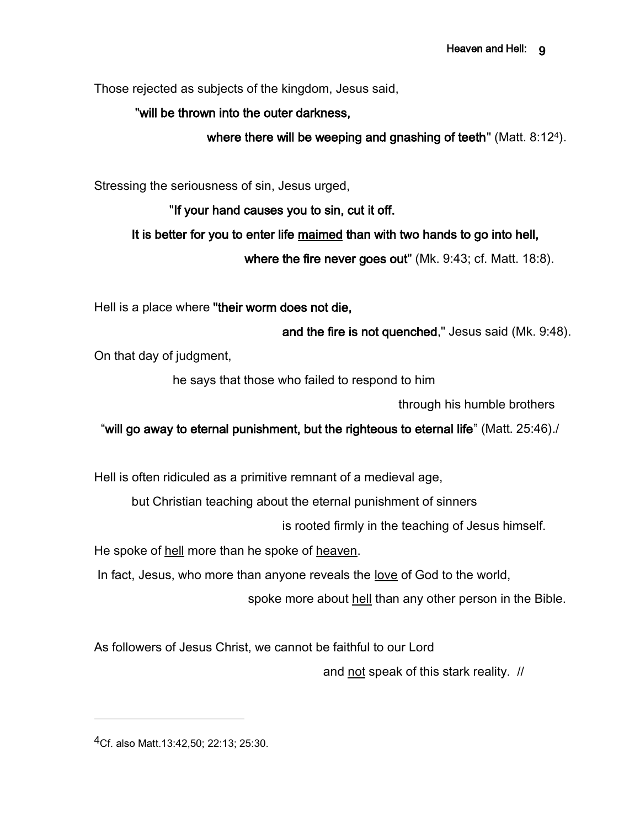Those rejected as subjects of the kingdom, Jesus said,

## "will be thrown into the outer darkness,

where there will be weeping and gnashing of teeth" (Matt. 8:124).

Stressing the seriousness of sin, Jesus urged,

"If your hand causes you to sin, cut it off.

It is better for you to enter life maimed than with two hands to go into hell,

where the fire never goes out" (Mk. 9:43; cf. Matt. 18:8).

Hell is a place where "their worm does not die,

and the fire is not quenched," Jesus said (Mk. 9:48).

On that day of judgment,

he says that those who failed to respond to him

through his humble brothers

"will go away to eternal punishment, but the righteous to eternal life" (Matt. 25:46)./

Hell is often ridiculed as a primitive remnant of a medieval age,

but Christian teaching about the eternal punishment of sinners

is rooted firmly in the teaching of Jesus himself.

He spoke of hell more than he spoke of heaven.

In fact, Jesus, who more than anyone reveals the love of God to the world,

spoke more about hell than any other person in the Bible.

As followers of Jesus Christ, we cannot be faithful to our Lord

and not speak of this stark reality. //

4Cf. also Matt.13:42,50; 22:13; 25:30.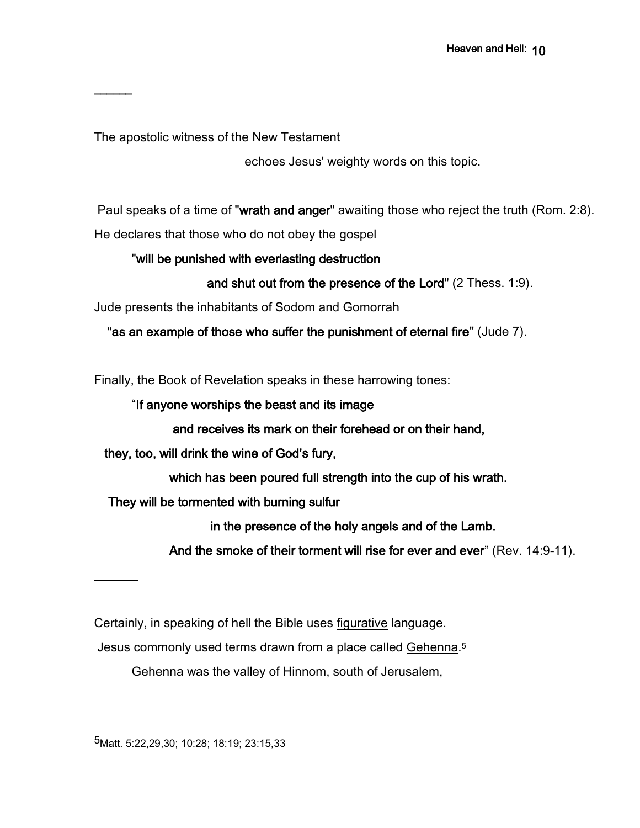The apostolic witness of the New Testament

 $\overline{\phantom{a}}$ 

 $\overline{\phantom{a}}$ 

echoes Jesus' weighty words on this topic.

Paul speaks of a time of "wrath and anger" awaiting those who reject the truth (Rom. 2:8). He declares that those who do not obey the gospel

## "will be punished with everlasting destruction

and shut out from the presence of the Lord" (2 Thess. 1:9).

Jude presents the inhabitants of Sodom and Gomorrah

"as an example of those who suffer the punishment of eternal fire" (Jude 7).

Finally, the Book of Revelation speaks in these harrowing tones:

"If anyone worships the beast and its image

and receives its mark on their forehead or on their hand,

they, too, will drink the wine of God's fury,

which has been poured full strength into the cup of his wrath.

They will be tormented with burning sulfur

in the presence of the holy angels and of the Lamb.

And the smoke of their torment will rise for ever and ever" (Rev. 14:9-11).

Certainly, in speaking of hell the Bible uses figurative language.

Jesus commonly used terms drawn from a place called Gehenna.<sup>5</sup>

Gehenna was the valley of Hinnom, south of Jerusalem,

5Matt. 5:22,29,30; 10:28; 18:19; 23:15,33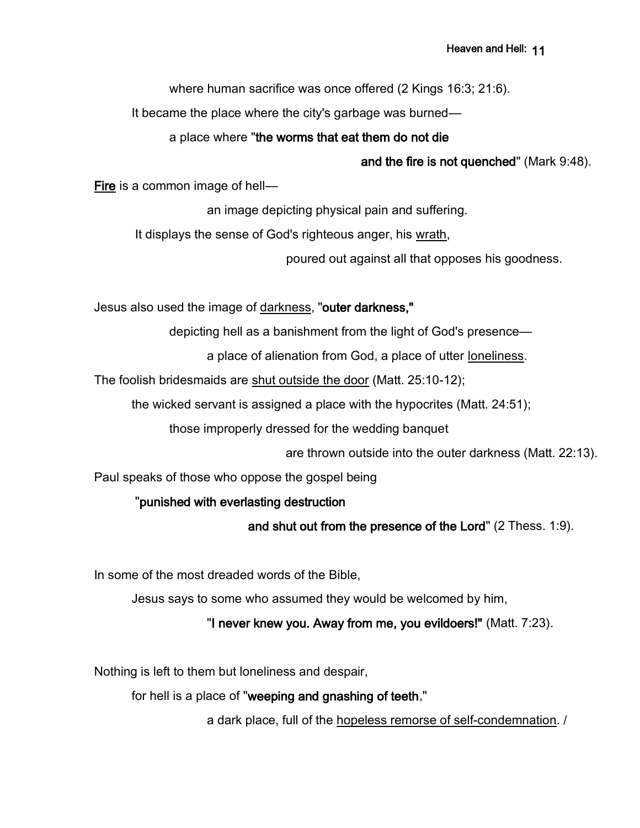where human sacrifice was once offered (2 Kings 16:3; 21:6).

It became the place where the city's garbage was burned—

### a place where "the worms that eat them do not die

and the fire is not quenched" (Mark 9:48).

Fire is a common image of hell—

an image depicting physical pain and suffering.

It displays the sense of God's righteous anger, his wrath,

poured out against all that opposes his goodness.

Jesus also used the image of darkness, "outer darkness,"

depicting hell as a banishment from the light of God's presence—

a place of alienation from God, a place of utter loneliness.

The foolish bridesmaids are shut outside the door (Matt. 25:10-12);

the wicked servant is assigned a place with the hypocrites (Matt. 24:51);

those improperly dressed for the wedding banquet

are thrown outside into the outer darkness (Matt. 22:13).

Paul speaks of those who oppose the gospel being

## "punished with everlasting destruction

and shut out from the presence of the Lord" (2 Thess. 1:9).

In some of the most dreaded words of the Bible,

Jesus says to some who assumed they would be welcomed by him,

## "I never knew you. Away from me, you evildoers!" (Matt. 7:23).

Nothing is left to them but loneliness and despair,

for hell is a place of "weeping and gnashing of teeth,"

a dark place, full of the hopeless remorse of self-condemnation. /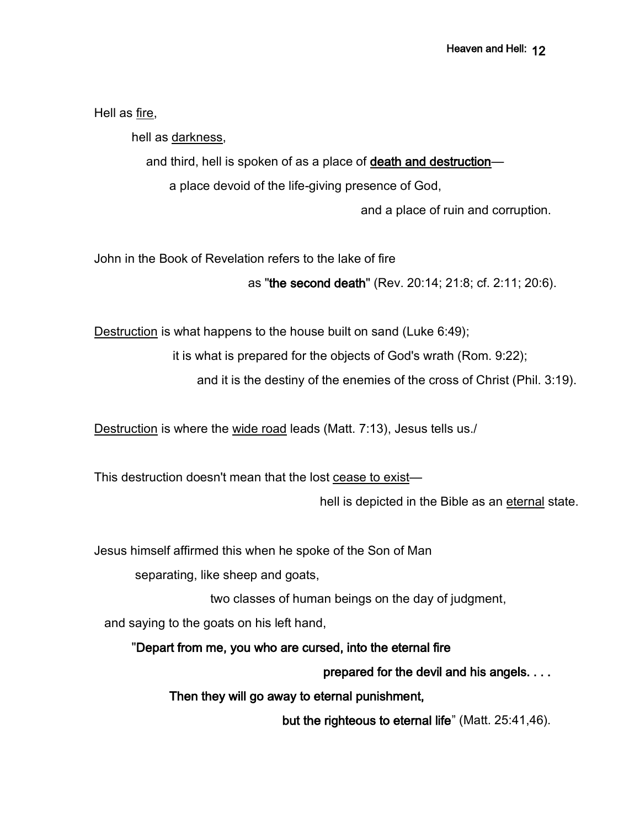Hell as fire,

hell as darkness,

and third, hell is spoken of as a place of death and destruction—

a place devoid of the life-giving presence of God,

and a place of ruin and corruption.

John in the Book of Revelation refers to the lake of fire

as "the second death" (Rev. 20:14; 21:8; cf. 2:11; 20:6).

Destruction is what happens to the house built on sand (Luke 6:49);

it is what is prepared for the objects of God's wrath (Rom. 9:22);

and it is the destiny of the enemies of the cross of Christ (Phil. 3:19).

Destruction is where the wide road leads (Matt. 7:13), Jesus tells us./

This destruction doesn't mean that the lost cease to exist—

hell is depicted in the Bible as an eternal state.

Jesus himself affirmed this when he spoke of the Son of Man

separating, like sheep and goats,

two classes of human beings on the day of judgment,

and saying to the goats on his left hand,

"Depart from me, you who are cursed, into the eternal fire

prepared for the devil and his angels. . . .

Then they will go away to eternal punishment,

but the righteous to eternal life" (Matt. 25:41,46).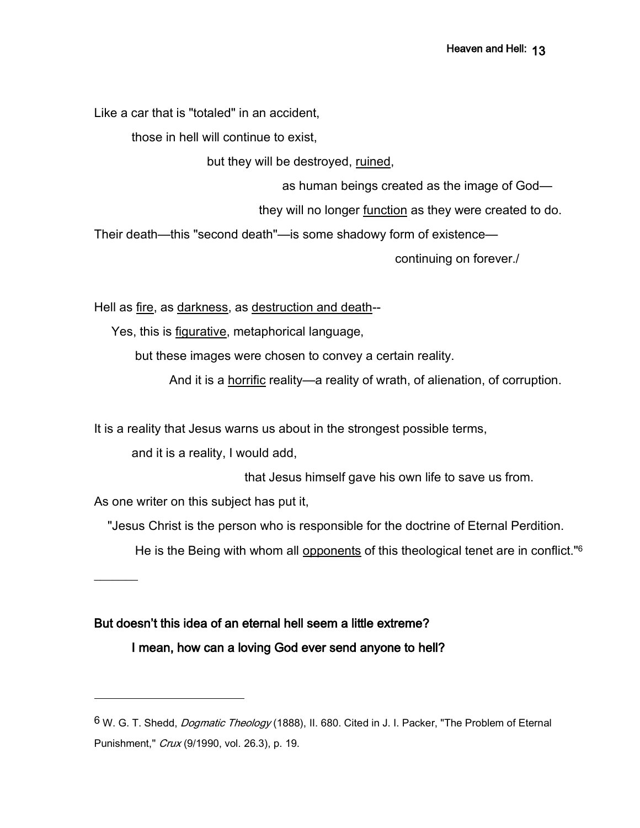Like a car that is "totaled" in an accident,

those in hell will continue to exist,

but they will be destroyed, ruined,

as human beings created as the image of God—

they will no longer function as they were created to do.

Their death—this "second death"—is some shadowy form of existence—

continuing on forever./

Hell as fire, as darkness, as destruction and death--

Yes, this is figurative, metaphorical language,

but these images were chosen to convey a certain reality.

And it is a horrific reality—a reality of wrath, of alienation, of corruption.

It is a reality that Jesus warns us about in the strongest possible terms,

and it is a reality, I would add,

that Jesus himself gave his own life to save us from.

As one writer on this subject has put it,

 $\overline{\phantom{a}}$ 

"Jesus Christ is the person who is responsible for the doctrine of Eternal Perdition.

He is the Being with whom all opponents of this theological tenet are in conflict."<sup>6</sup>

## But doesn't this idea of an eternal hell seem a little extreme?

I mean, how can a loving God ever send anyone to hell?

<sup>&</sup>lt;sup>6</sup> W. G. T. Shedd, *Dogmatic Theology* (1888), II. 680. Cited in J. I. Packer, "The Problem of Eternal Punishment," Crux (9/1990, vol. 26.3), p. 19.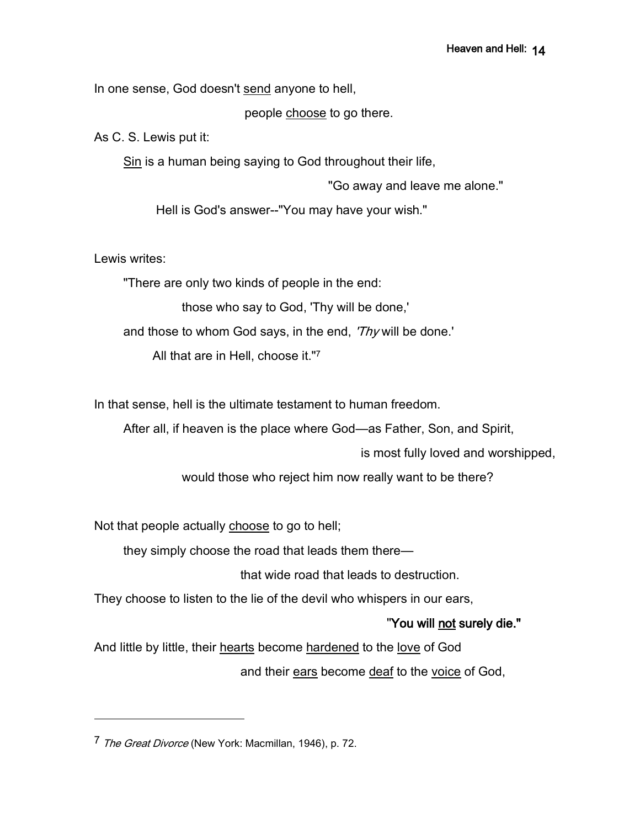In one sense, God doesn't send anyone to hell,

people choose to go there.

As C. S. Lewis put it:

Sin is a human being saying to God throughout their life,

"Go away and leave me alone."

Hell is God's answer--"You may have your wish."

Lewis writes:

"There are only two kinds of people in the end:

those who say to God, 'Thy will be done,'

and those to whom God says, in the end, 'Thy will be done.'

All that are in Hell, choose it."<sup>7</sup>

In that sense, hell is the ultimate testament to human freedom.

After all, if heaven is the place where God—as Father, Son, and Spirit,

is most fully loved and worshipped,

would those who reject him now really want to be there?

Not that people actually choose to go to hell;

they simply choose the road that leads them there—

that wide road that leads to destruction.

They choose to listen to the lie of the devil who whispers in our ears,

## "You will not surely die."

And little by little, their hearts become hardened to the love of God and their ears become deaf to the voice of God,

<sup>7</sup> The Great Divorce (New York: Macmillan, 1946), p. 72.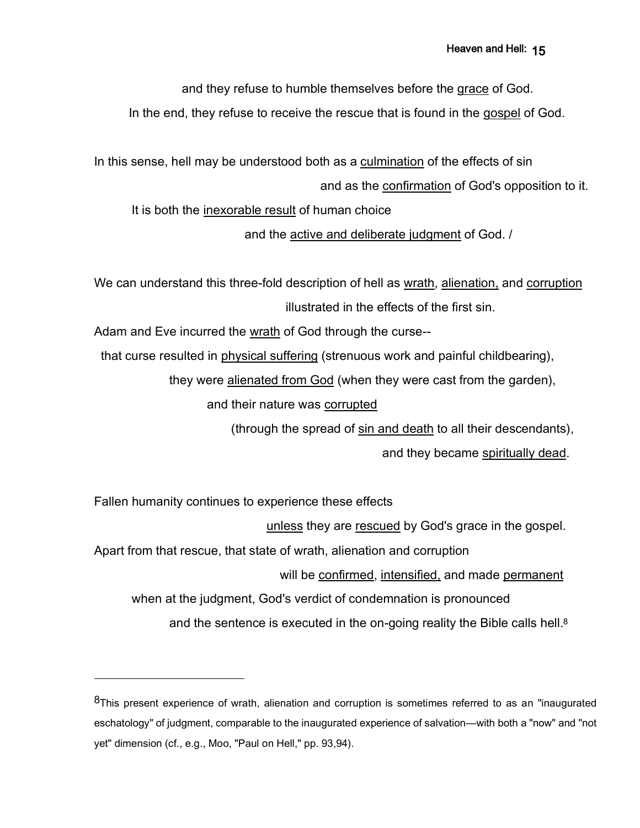and they refuse to humble themselves before the grace of God.

In the end, they refuse to receive the rescue that is found in the gospel of God.

In this sense, hell may be understood both as a culmination of the effects of sin and as the confirmation of God's opposition to it.

It is both the inexorable result of human choice

and the active and deliberate judgment of God. /

We can understand this three-fold description of hell as wrath, alienation, and corruption illustrated in the effects of the first sin.

Adam and Eve incurred the wrath of God through the curse--

that curse resulted in physical suffering (strenuous work and painful childbearing),

they were alienated from God (when they were cast from the garden),

and their nature was corrupted

(through the spread of sin and death to all their descendants),

and they became spiritually dead.

Fallen humanity continues to experience these effects

unless they are rescued by God's grace in the gospel.

Apart from that rescue, that state of wrath, alienation and corruption

will be confirmed, intensified, and made permanent

when at the judgment, God's verdict of condemnation is pronounced

and the sentence is executed in the on-going reality the Bible calls hell.<sup>8</sup>

<sup>8</sup>This present experience of wrath, alienation and corruption is sometimes referred to as an "inaugurated eschatology" of judgment, comparable to the inaugurated experience of salvation—with both a "now" and "not yet" dimension (cf., e.g., Moo, "Paul on Hell," pp. 93,94).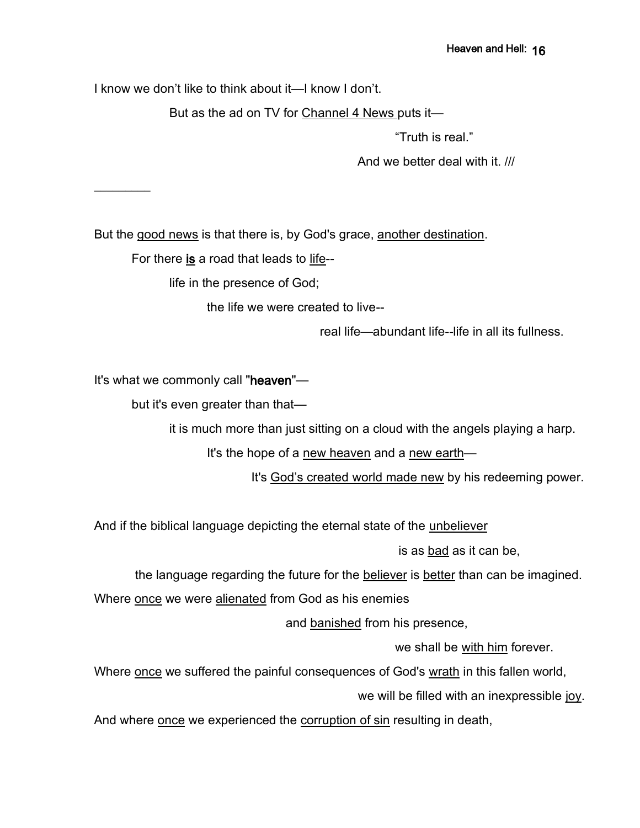I know we don't like to think about it—I know I don't.

But as the ad on TV for Channel 4 News puts it—

"Truth is real."

And we better deal with it. ///

But the good news is that there is, by God's grace, another destination.

For there is a road that leads to life--

life in the presence of God;

the life we were created to live--

real life—abundant life--life in all its fullness.

It's what we commonly call "heaven"—

 $\overline{\phantom{a}}$ 

but it's even greater than that—

it is much more than just sitting on a cloud with the angels playing a harp.

It's the hope of a new heaven and a new earth—

It's God's created world made new by his redeeming power.

And if the biblical language depicting the eternal state of the unbeliever

is as bad as it can be,

the language regarding the future for the believer is better than can be imagined.

Where once we were alienated from God as his enemies

and banished from his presence,

we shall be with him forever.

Where once we suffered the painful consequences of God's wrath in this fallen world,

we will be filled with an inexpressible joy.

And where once we experienced the corruption of sin resulting in death,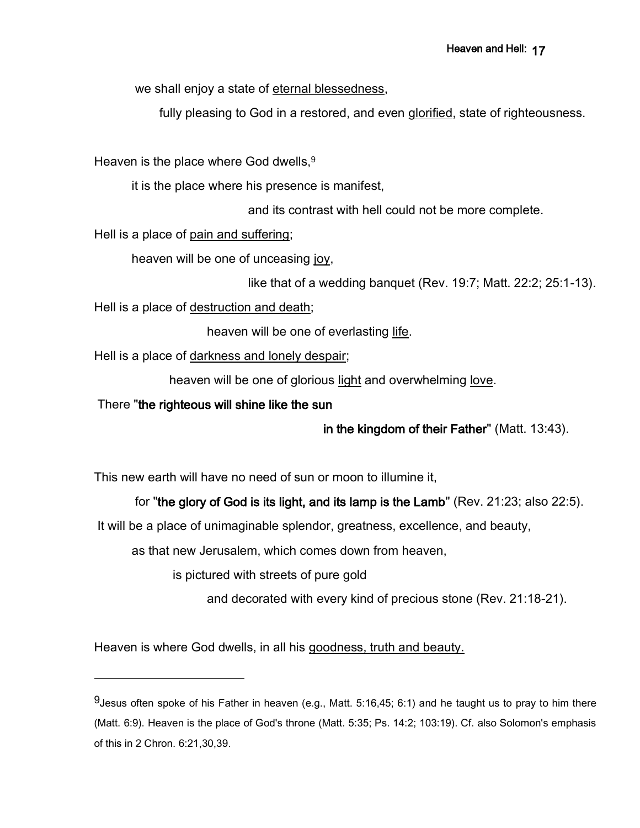we shall enjoy a state of eternal blessedness,

fully pleasing to God in a restored, and even glorified, state of righteousness.

Heaven is the place where God dwells.<sup>9</sup>

it is the place where his presence is manifest,

and its contrast with hell could not be more complete.

Hell is a place of pain and suffering;

heaven will be one of unceasing joy,

```
like that of a wedding banquet (Rev. 19:7; Matt. 22:2; 25:1-13).
```
Hell is a place of destruction and death;

heaven will be one of everlasting life.

Hell is a place of darkness and lonely despair;

heaven will be one of glorious light and overwhelming love.

There "the righteous will shine like the sun

in the kingdom of their Father" (Matt. 13:43).

This new earth will have no need of sun or moon to illumine it,

for "the glory of God is its light, and its lamp is the Lamb" (Rev. 21:23; also 22:5).

It will be a place of unimaginable splendor, greatness, excellence, and beauty,

as that new Jerusalem, which comes down from heaven,

is pictured with streets of pure gold

and decorated with every kind of precious stone (Rev. 21:18-21).

Heaven is where God dwells, in all his goodness, truth and beauty.

 $9$ Jesus often spoke of his Father in heaven (e.g., Matt. 5:16,45; 6:1) and he taught us to pray to him there (Matt. 6:9). Heaven is the place of God's throne (Matt. 5:35; Ps. 14:2; 103:19). Cf. also Solomon's emphasis of this in 2 Chron. 6:21,30,39.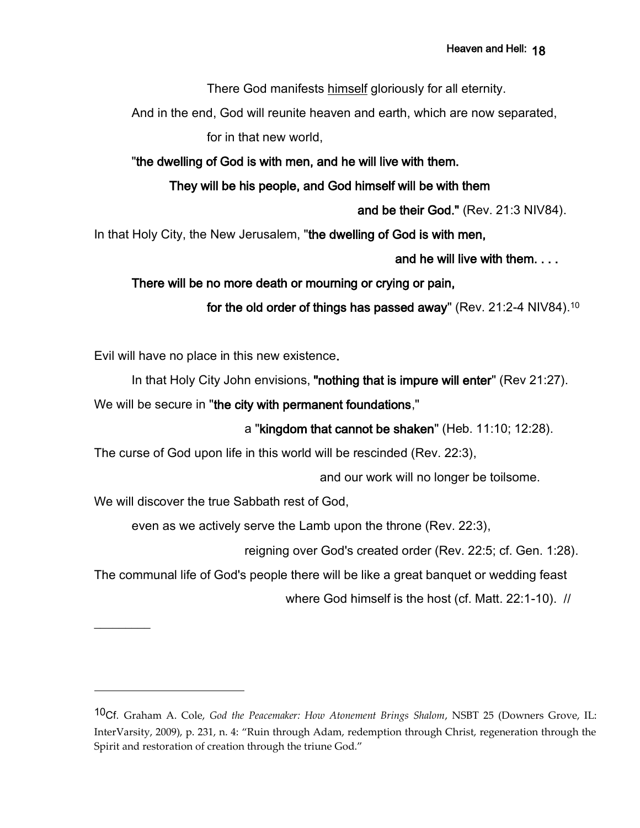There God manifests himself gloriously for all eternity.

And in the end, God will reunite heaven and earth, which are now separated,

for in that new world,

"the dwelling of God is with men, and he will live with them.

## They will be his people, and God himself will be with them

and be their God." (Rev. 21:3 NIV84).

In that Holy City, the New Jerusalem, "the dwelling of God is with men,

and he will live with them. . . .

There will be no more death or mourning or crying or pain,

for the old order of things has passed away" (Rev. 21:2-4 NIV84).<sup>10</sup>

Evil will have no place in this new existence.

In that Holy City John envisions, "nothing that is impure will enter" (Rev 21:27).

We will be secure in "the city with permanent foundations,"

a "kingdom that cannot be shaken" (Heb. 11:10; 12:28).

The curse of God upon life in this world will be rescinded (Rev. 22:3),

and our work will no longer be toilsome.

We will discover the true Sabbath rest of God,

 $\frac{1}{2}$ 

even as we actively serve the Lamb upon the throne (Rev. 22:3),

reigning over God's created order (Rev. 22:5; cf. Gen. 1:28).

The communal life of God's people there will be like a great banquet or wedding feast

where God himself is the host (cf. Matt. 22:1-10). //

<sup>10</sup>Cf. Graham A. Cole, *God the Peacemaker: How Atonement Brings Shalom*, NSBT 25 (Downers Grove, IL: InterVarsity, 2009), p. 231, n. 4: "Ruin through Adam, redemption through Christ, regeneration through the Spirit and restoration of creation through the triune God."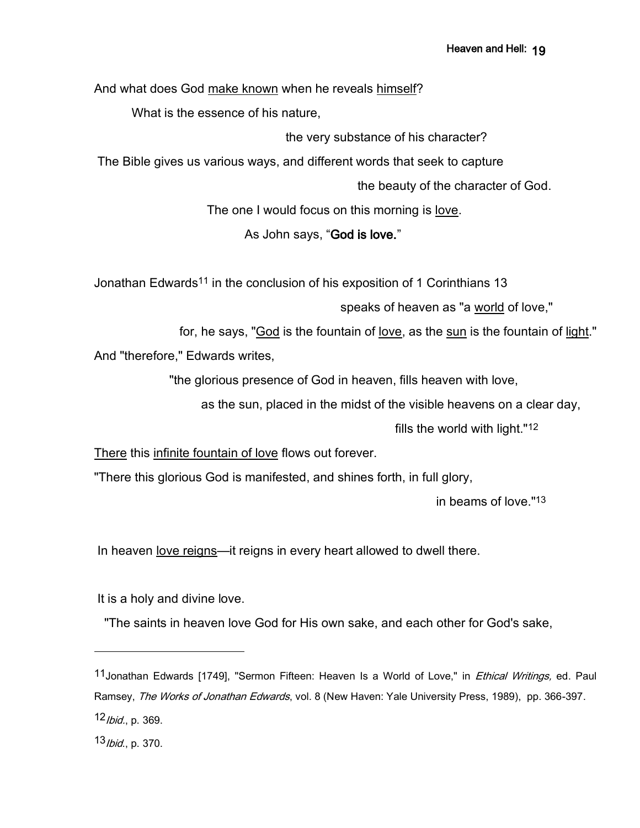And what does God make known when he reveals himself?

What is the essence of his nature,

the very substance of his character?

The Bible gives us various ways, and different words that seek to capture

the beauty of the character of God.

The one I would focus on this morning is love.

### As John says, "God is love."

Jonathan Edwards<sup>11</sup> in the conclusion of his exposition of 1 Corinthians 13

speaks of heaven as "a world of love,"

for, he says, "God is the fountain of love, as the sun is the fountain of light."

And "therefore," Edwards writes,

"the glorious presence of God in heaven, fills heaven with love,

as the sun, placed in the midst of the visible heavens on a clear day,

fills the world with light."12

There this infinite fountain of love flows out forever.

"There this glorious God is manifested, and shines forth, in full glory,

in beams of love."13

In heaven <u>love reigns</u>—it reigns in every heart allowed to dwell there.

It is a holy and divine love.

"The saints in heaven love God for His own sake, and each other for God's sake,

<sup>11</sup> Jonathan Edwards [1749], "Sermon Fifteen: Heaven Is a World of Love," in *Ethical Writings*, ed. Paul Ramsey, The Works of Jonathan Edwards, vol. 8 (New Haven: Yale University Press, 1989), pp. 366-397. 12*Ibid.*, p. 369.

<sup>13</sup>*Ibid.*, p. 370.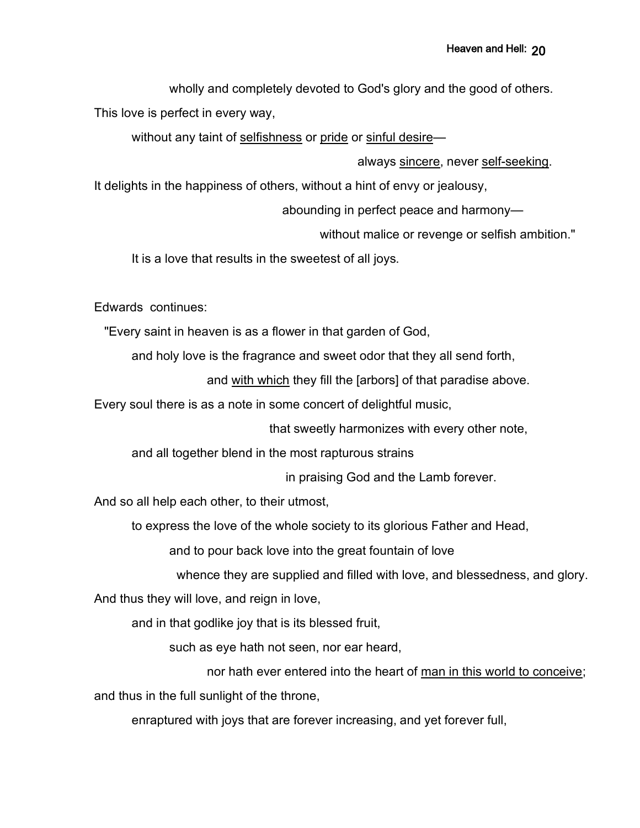wholly and completely devoted to God's glory and the good of others.

This love is perfect in every way,

without any taint of selfishness or pride or sinful desire—

always sincere, never self-seeking.

It delights in the happiness of others, without a hint of envy or jealousy,

abounding in perfect peace and harmony—

without malice or revenge or selfish ambition."

It is a love that results in the sweetest of all joys.

Edwards continues:

"Every saint in heaven is as a flower in that garden of God,

and holy love is the fragrance and sweet odor that they all send forth,

and with which they fill the [arbors] of that paradise above.

Every soul there is as a note in some concert of delightful music,

that sweetly harmonizes with every other note,

and all together blend in the most rapturous strains

in praising God and the Lamb forever.

And so all help each other, to their utmost,

to express the love of the whole society to its glorious Father and Head,

and to pour back love into the great fountain of love

whence they are supplied and filled with love, and blessedness, and glory.

And thus they will love, and reign in love,

and in that godlike joy that is its blessed fruit,

such as eye hath not seen, nor ear heard,

nor hath ever entered into the heart of man in this world to conceive; and thus in the full sunlight of the throne,

enraptured with joys that are forever increasing, and yet forever full,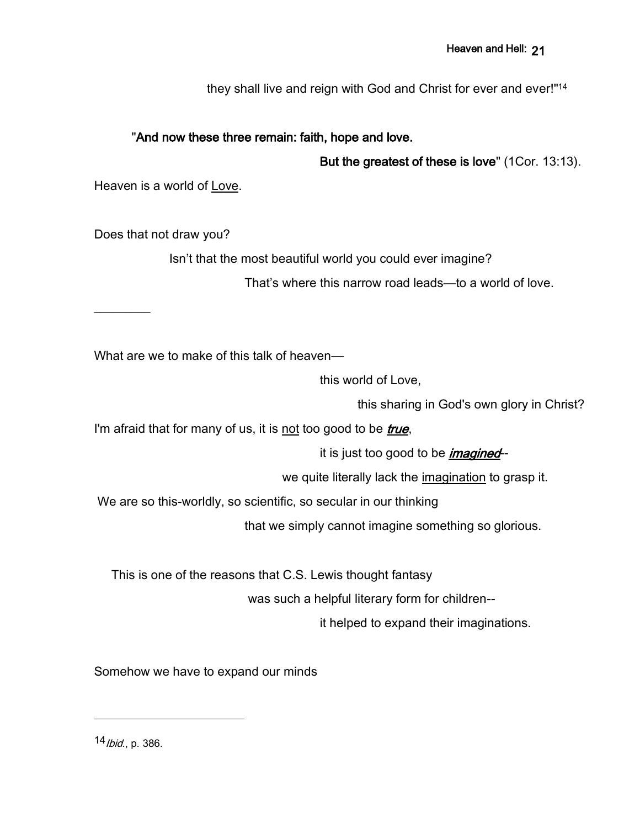they shall live and reign with God and Christ for ever and ever!"<sup>14</sup>

### "And now these three remain: faith, hope and love.

But the greatest of these is love" (1Cor. 13:13).

Heaven is a world of Love.

Does that not draw you?

 $\overline{\phantom{a}}$ 

Isn't that the most beautiful world you could ever imagine?

That's where this narrow road leads—to a world of love.

What are we to make of this talk of heaven—

this world of Love,

this sharing in God's own glory in Christ?

I'm afraid that for many of us, it is not too good to be *true*,

it is just too good to be *imagined*--

we quite literally lack the imagination to grasp it.

We are so this-worldly, so scientific, so secular in our thinking

that we simply cannot imagine something so glorious.

This is one of the reasons that C.S. Lewis thought fantasy

was such a helpful literary form for children--

it helped to expand their imaginations.

Somehow we have to expand our minds

14 *Ibid.*, p. 386.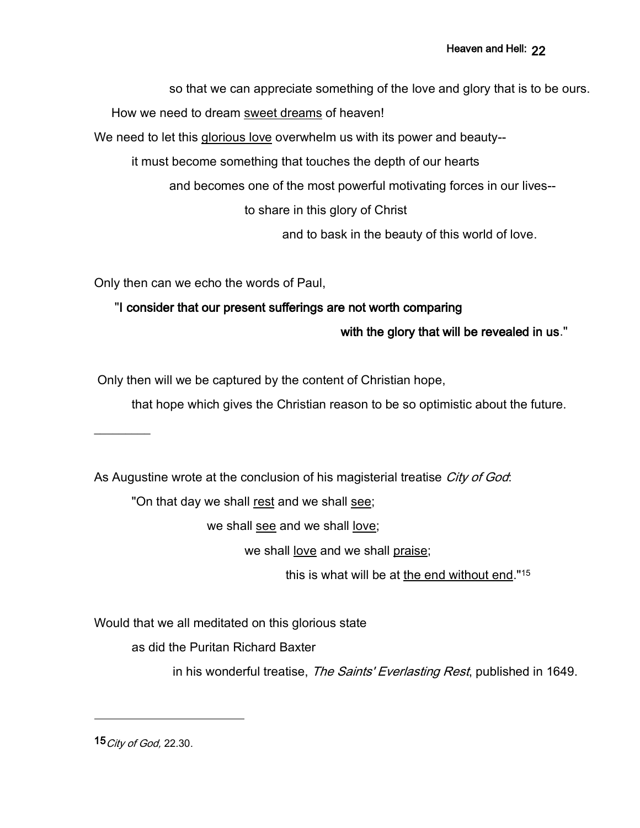so that we can appreciate something of the love and glory that is to be ours.

How we need to dream sweet dreams of heaven!

We need to let this glorious love overwhelm us with its power and beauty--

it must become something that touches the depth of our hearts

and becomes one of the most powerful motivating forces in our lives--

to share in this glory of Christ

and to bask in the beauty of this world of love.

Only then can we echo the words of Paul,

"I consider that our present sufferings are not worth comparing

with the glory that will be revealed in us."

Only then will we be captured by the content of Christian hope,

that hope which gives the Christian reason to be so optimistic about the future.

As Augustine wrote at the conclusion of his magisterial treatise *City of God*:

"On that day we shall rest and we shall see;

we shall see and we shall love;

we shall <u>love</u> and we shall praise;

this is what will be at the end without end."<sup>15</sup>

Would that we all meditated on this glorious state

as did the Puritan Richard Baxter

in his wonderful treatise, The Saints' Everlasting Rest, published in 1649.

15 *City of God*, 22.30.

 $\overline{\phantom{a}}$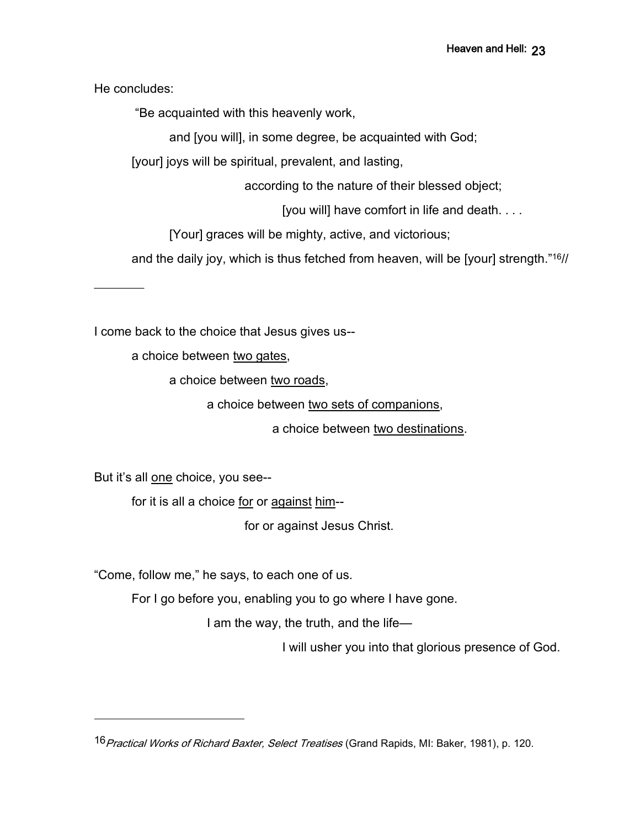He concludes:

 $\overline{\phantom{a}}$ 

"Be acquainted with this heavenly work,

and [you will], in some degree, be acquainted with God;

[your] joys will be spiritual, prevalent, and lasting,

according to the nature of their blessed object;

[you will] have comfort in life and death. . . .

[Your] graces will be mighty, active, and victorious;

and the daily joy, which is thus fetched from heaven, will be [your] strength." <sup>16</sup>//

a choice between two gates,

I come back to the choice that Jesus gives us--

a choice between two roads,

a choice between two sets of companions,

a choice between two destinations.

But it's all one choice, you see--

for it is all a choice for or against him--

for or against Jesus Christ.

"Come, follow me," he says, to each one of us.

For I go before you, enabling you to go where I have gone.

I am the way, the truth, and the life—

I will usher you into that glorious presence of God.

16 Practical Works of Richard Baxter, Select Treatises (Grand Rapids, MI: Baker, 1981), p. 120.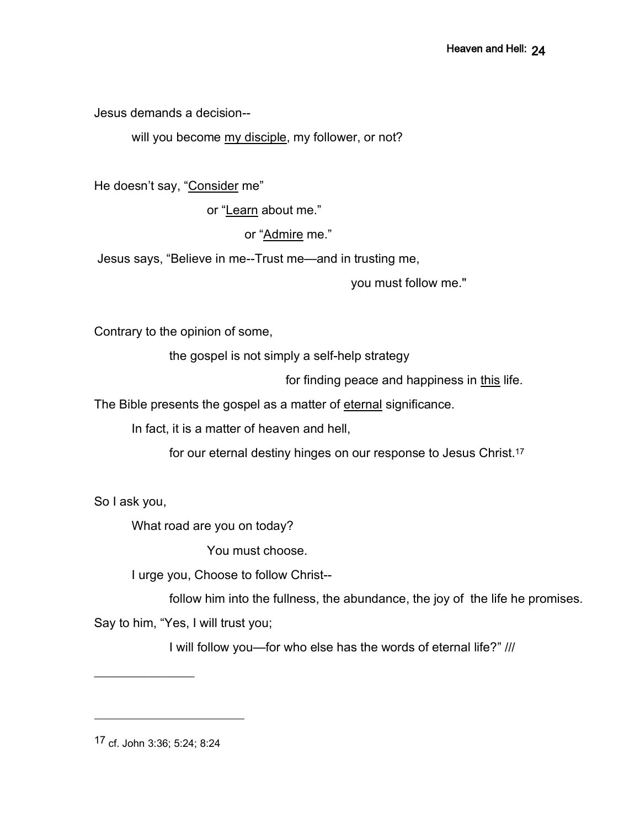Jesus demands a decision--

will you become my disciple, my follower, or not?

He doesn't say, "Consider me"

or "Learn about me."

or "Admire me."

Jesus says, "Believe in me--Trust me—and in trusting me,

you must follow me."

Contrary to the opinion of some,

the gospel is not simply a self-help strategy

for finding peace and happiness in this life.

The Bible presents the gospel as a matter of eternal significance.

In fact, it is a matter of heaven and hell,

for our eternal destiny hinges on our response to Jesus Christ.<sup>17</sup>

So I ask you,

What road are you on today?

You must choose.

I urge you, Choose to follow Christ--

follow him into the fullness, the abundance, the joy of the life he promises.

Say to him, "Yes, I will trust you;

I will follow you—for who else has the words of eternal life?" ///

17 cf. John 3:36; 5:24; 8:24

 $\frac{1}{2}$  ,  $\frac{1}{2}$  ,  $\frac{1}{2}$  ,  $\frac{1}{2}$  ,  $\frac{1}{2}$  ,  $\frac{1}{2}$  ,  $\frac{1}{2}$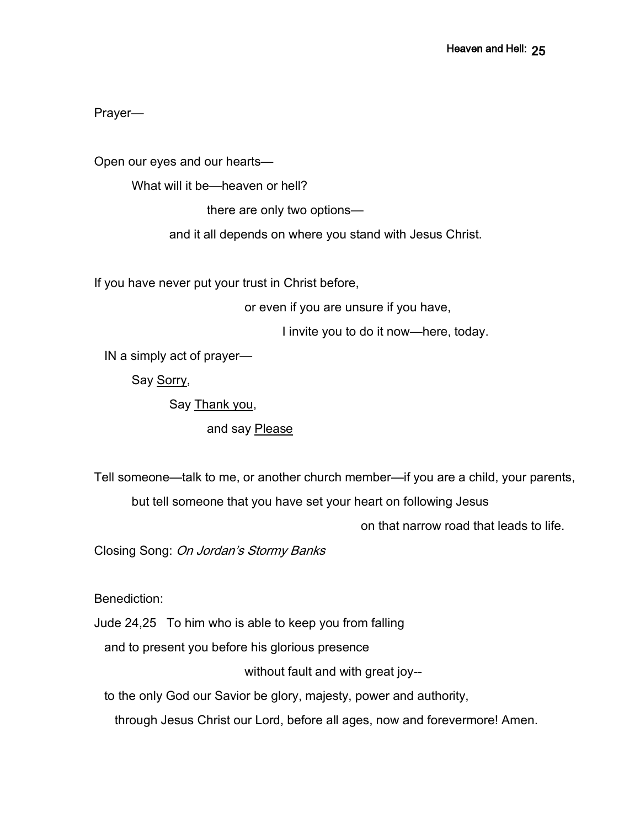Prayer—

Open our eyes and our hearts—

What will it be—heaven or hell?

there are only two options—

and it all depends on where you stand with Jesus Christ.

If you have never put your trust in Christ before,

or even if you are unsure if you have,

I invite you to do it now—here, today.

IN a simply act of prayer—

Say Sorry,

Say Thank you,

and say Please

Tell someone—talk to me, or another church member—if you are a child, your parents,

but tell someone that you have set your heart on following Jesus

on that narrow road that leads to life.

Closing Song: On Jordan's Stormy Banks

Benediction:

Jude 24,25 To him who is able to keep you from falling

and to present you before his glorious presence

without fault and with great joy--

to the only God our Savior be glory, majesty, power and authority,

through Jesus Christ our Lord, before all ages, now and forevermore! Amen.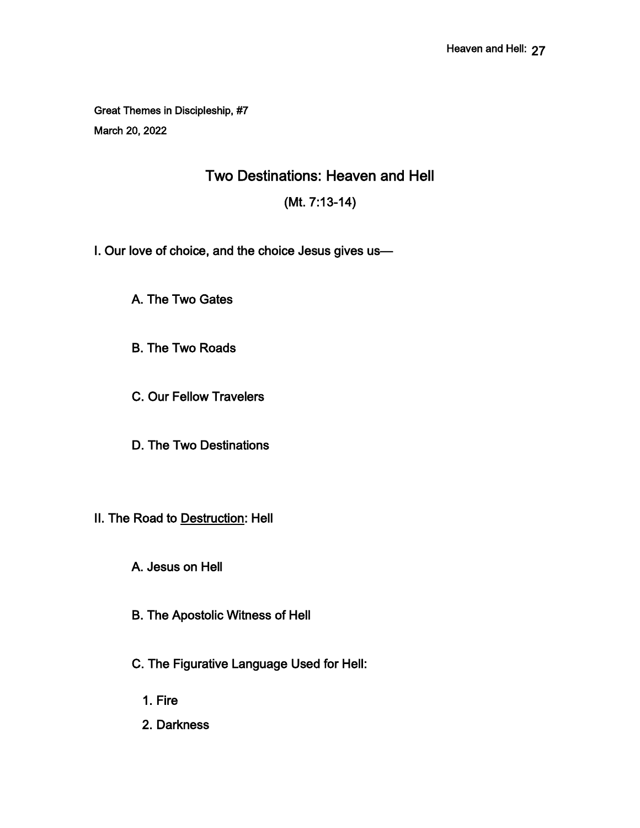Great Themes in Discipleship, #7 March 20, 2022

Two Destinations: Heaven and Hell

(Mt. 7:13-14)

I. Our love of choice, and the choice Jesus gives us—

A. The Two Gates

B. The Two Roads

C. Our Fellow Travelers

D. The Two Destinations

II. The Road to Destruction: Hell

A. Jesus on Hell

B. The Apostolic Witness of Hell

C. The Figurative Language Used for Hell:

1. Fire

2. Darkness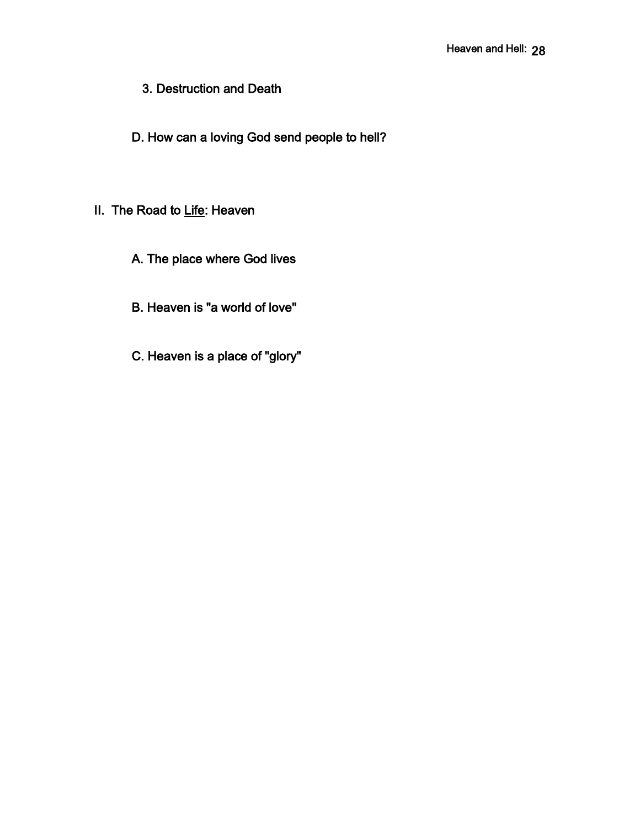3. Destruction and Death

D. How can a loving God send people to hell?

# II. The Road to Life: Heaven

- A. The place where God lives
- B. Heaven is "a world of love"
- C. Heaven is a place of "glory"